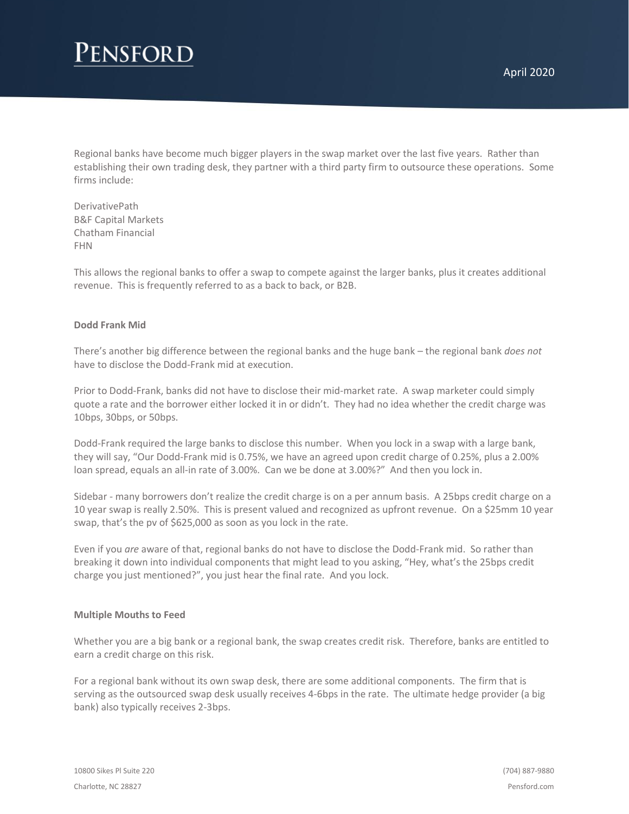## **ENSFORD**

Regional banks have become much bigger players in the swap market over the last five years. Rather than establishing their own trading desk, they partner with a third party firm to outsource these operations. Some firms include:

DerivativePath B&F Capital Markets Chatham Financial FHN

This allows the regional banks to offer a swap to compete against the larger banks, plus it creates additional revenue. This is frequently referred to as a back to back, or B2B.

## **Dodd Frank Mid**

There's another big difference between the regional banks and the huge bank – the regional bank *does not* have to disclose the Dodd-Frank mid at execution.

Prior to Dodd-Frank, banks did not have to disclose their mid-market rate. A swap marketer could simply quote a rate and the borrower either locked it in or didn't. They had no idea whether the credit charge was 10bps, 30bps, or 50bps.

Dodd-Frank required the large banks to disclose this number. When you lock in a swap with a large bank, they will say, "Our Dodd-Frank mid is 0.75%, we have an agreed upon credit charge of 0.25%, plus a 2.00% loan spread, equals an all-in rate of 3.00%. Can we be done at 3.00%?" And then you lock in.

Sidebar - many borrowers don't realize the credit charge is on a per annum basis. A 25bps credit charge on a 10 year swap is really 2.50%. This is present valued and recognized as upfront revenue. On a \$25mm 10 year swap, that's the pv of \$625,000 as soon as you lock in the rate.

Even if you *are* aware of that, regional banks do not have to disclose the Dodd-Frank mid. So rather than breaking it down into individual components that might lead to you asking, "Hey, what's the 25bps credit charge you just mentioned?", you just hear the final rate. And you lock.

## **Multiple Mouths to Feed**

Whether you are a big bank or a regional bank, the swap creates credit risk. Therefore, banks are entitled to earn a credit charge on this risk.

For a regional bank without its own swap desk, there are some additional components. The firm that is serving as the outsourced swap desk usually receives 4-6bps in the rate. The ultimate hedge provider (a big bank) also typically receives 2-3bps.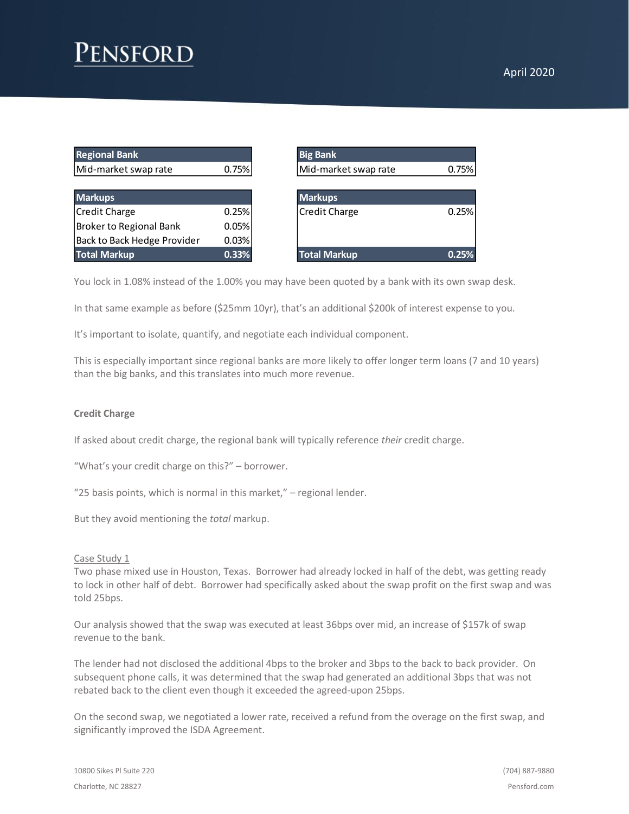# **ENSFOR**

| <b>Regional Bank</b>        |       | <b>Big Bank</b>      |       |
|-----------------------------|-------|----------------------|-------|
| Mid-market swap rate        | 0.75% | Mid-market swap rate | 0.75% |
|                             |       |                      |       |
| <b>Markups</b>              |       | <b>Markups</b>       |       |
| <b>Credit Charge</b>        | 0.25% | <b>Credit Charge</b> | 0.25% |
| Broker to Regional Bank     | 0.05% |                      |       |
| Back to Back Hedge Provider | 0.03% |                      |       |
| <b>Total Markup</b>         | 0.33% | <b>Total Markup</b>  | 0.25% |

| <b>Regional Bank</b>           |       | <b>Big Bank</b>               |
|--------------------------------|-------|-------------------------------|
| Mid-market swap rate           | 0.75% | Mid-market swap rate<br>0.75% |
|                                |       |                               |
| <b>Markups</b>                 |       | <b>Markups</b>                |
| Credit Charge                  | 0.25% | Credit Charge<br>0.25%        |
| <b>Broker to Regional Bank</b> | 0.05% |                               |
| Back to Back Hedge Provider    | 0.03% |                               |
| <b>Total Markup</b>            | 0.33% | <b>Total Markup</b><br>0.25%  |

You lock in 1.08% instead of the 1.00% you may have been quoted by a bank with its own swap desk.

In that same example as before (\$25mm 10yr), that's an additional \$200k of interest expense to you.

It's important to isolate, quantify, and negotiate each individual component.

This is especially important since regional banks are more likely to offer longer term loans (7 and 10 years) than the big banks, and this translates into much more revenue.

## **Credit Charge**

If asked about credit charge, the regional bank will typically reference *their* credit charge.

"What's your credit charge on this?" – borrower.

"25 basis points, which is normal in this market," – regional lender.

But they avoid mentioning the *total* markup.

#### Case Study 1

Two phase mixed use in Houston, Texas. Borrower had already locked in half of the debt, was getting ready to lock in other half of debt. Borrower had specifically asked about the swap profit on the first swap and was told 25bps.

Our analysis showed that the swap was executed at least 36bps over mid, an increase of \$157k of swap revenue to the bank.

The lender had not disclosed the additional 4bps to the broker and 3bps to the back to back provider. On subsequent phone calls, it was determined that the swap had generated an additional 3bps that was not rebated back to the client even though it exceeded the agreed-upon 25bps.

On the second swap, we negotiated a lower rate, received a refund from the overage on the first swap, and significantly improved the ISDA Agreement.